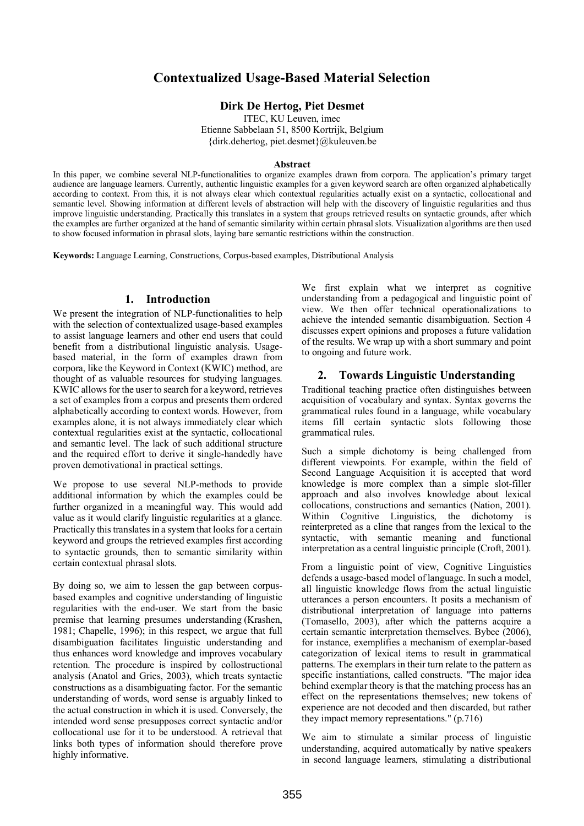# **Contextualized Usage-Based Material Selection**

## **Dirk De Hertog, Piet Desmet**

ITEC, KU Leuven, imec

Etienne Sabbelaan 51, 8500 Kortrijk, Belgium {dirk.dehertog, piet.desmet}@kuleuven.be

#### **Abstract**

In this paper, we combine several NLP-functionalities to organize examples drawn from corpora. The application's primary target audience are language learners. Currently, authentic linguistic examples for a given keyword search are often organized alphabetically according to context. From this, it is not always clear which contextual regularities actually exist on a syntactic, collocational and semantic level. Showing information at different levels of abstraction will help with the discovery of linguistic regularities and thus improve linguistic understanding. Practically this translates in a system that groups retrieved results on syntactic grounds, after which the examples are further organized at the hand of semantic similarity within certain phrasal slots. Visualization algorithms are then used to show focused information in phrasal slots, laying bare semantic restrictions within the construction.

**Keywords:** Language Learning, Constructions, Corpus-based examples, Distributional Analysis

## **1. Introduction**

We present the integration of NLP-functionalities to help with the selection of contextualized usage-based examples to assist language learners and other end users that could benefit from a distributional linguistic analysis. Usagebased material, in the form of examples drawn from corpora, like the Keyword in Context (KWIC) method, are thought of as valuable resources for studying languages. KWIC allows for the user to search for a keyword, retrieves a set of examples from a corpus and presents them ordered alphabetically according to context words. However, from examples alone, it is not always immediately clear which contextual regularities exist at the syntactic, collocational and semantic level. The lack of such additional structure and the required effort to derive it single-handedly have proven demotivational in practical settings.

We propose to use several NLP-methods to provide additional information by which the examples could be further organized in a meaningful way. This would add value as it would clarify linguistic regularities at a glance. Practically this translates in a system that looks for a certain keyword and groups the retrieved examples first according to syntactic grounds, then to semantic similarity within certain contextual phrasal slots.

By doing so, we aim to lessen the gap between corpusbased examples and cognitive understanding of linguistic regularities with the end-user. We start from the basic premise that learning presumes understanding (Krashen, 1981; Chapelle, 1996); in this respect, we argue that full disambiguation facilitates linguistic understanding and thus enhances word knowledge and improves vocabulary retention. The procedure is inspired by collostructional analysis (Anatol and Gries, 2003), which treats syntactic constructions as a disambiguating factor. For the semantic understanding of words, word sense is arguably linked to the actual construction in which it is used. Conversely, the intended word sense presupposes correct syntactic and/or collocational use for it to be understood. A retrieval that links both types of information should therefore prove highly informative.

We first explain what we interpret as cognitive understanding from a pedagogical and linguistic point of view. We then offer technical operationalizations to achieve the intended semantic disambiguation. Section 4 discusses expert opinions and proposes a future validation of the results. We wrap up with a short summary and point to ongoing and future work.

## **2. Towards Linguistic Understanding**

Traditional teaching practice often distinguishes between acquisition of vocabulary and syntax. Syntax governs the grammatical rules found in a language, while vocabulary items fill certain syntactic slots following those grammatical rules.

Such a simple dichotomy is being challenged from different viewpoints. For example, within the field of Second Language Acquisition it is accepted that word knowledge is more complex than a simple slot-filler approach and also involves knowledge about lexical collocations, constructions and semantics (Nation, 2001). Within Cognitive Linguistics, the dichotomy is reinterpreted as a cline that ranges from the lexical to the syntactic, with semantic meaning and functional interpretation as a central linguistic principle (Croft, 2001).

From a linguistic point of view, Cognitive Linguistics defends a usage-based model of language. In such a model, all linguistic knowledge flows from the actual linguistic utterances a person encounters. It posits a mechanism of distributional interpretation of language into patterns (Tomasello, 2003), after which the patterns acquire a certain semantic interpretation themselves. Bybee (2006), for instance, exemplifies a mechanism of exemplar-based categorization of lexical items to result in grammatical patterns. The exemplars in their turn relate to the pattern as specific instantiations, called constructs. "The major idea behind exemplar theory is that the matching process has an effect on the representations themselves; new tokens of experience are not decoded and then discarded, but rather they impact memory representations." (p.716)

We aim to stimulate a similar process of linguistic understanding, acquired automatically by native speakers in second language learners, stimulating a distributional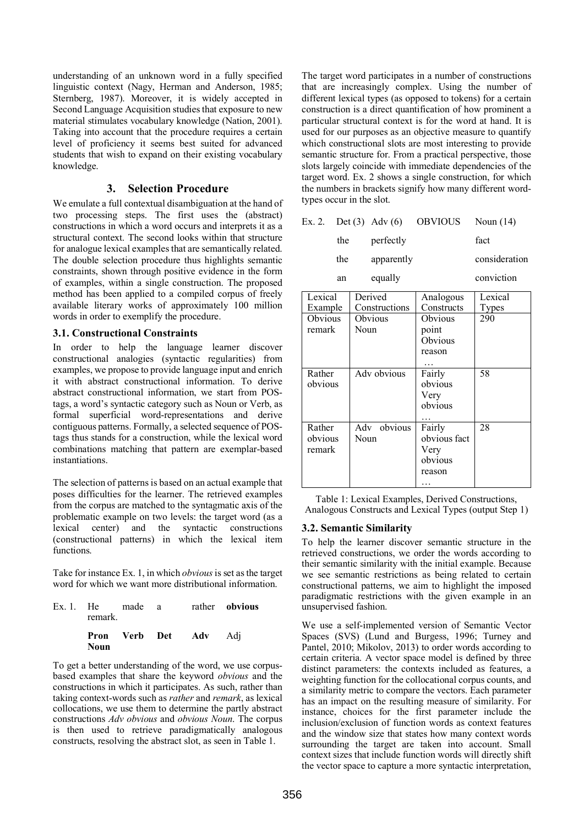understanding of an unknown word in a fully specified linguistic context (Nagy, Herman and Anderson, 1985; Sternberg, 1987). Moreover, it is widely accepted in Second Language Acquisition studies that exposure to new material stimulates vocabulary knowledge (Nation, 2001). Taking into account that the procedure requires a certain level of proficiency it seems best suited for advanced students that wish to expand on their existing vocabulary knowledge.

## **3. Selection Procedure**

We emulate a full contextual disambiguation at the hand of two processing steps. The first uses the (abstract) constructions in which a word occurs and interprets it as a structural context. The second looks within that structure for analogue lexical examples that are semantically related. The double selection procedure thus highlights semantic constraints, shown through positive evidence in the form of examples, within a single construction. The proposed method has been applied to a compiled corpus of freely available literary works of approximately 100 million words in order to exemplify the procedure.

#### **3.1. Constructional Constraints**

In order to help the language learner discover constructional analogies (syntactic regularities) from examples, we propose to provide language input and enrich it with abstract constructional information. To derive abstract constructional information, we start from POStags, a word's syntactic category such as Noun or Verb, as formal superficial word-representations and derive contiguous patterns. Formally, a selected sequence of POStags thus stands for a construction, while the lexical word combinations matching that pattern are exemplar-based instantiations.

The selection of patterns is based on an actual example that poses difficulties for the learner. The retrieved examples from the corpus are matched to the syntagmatic axis of the problematic example on two levels: the target word (as a lexical center) and the syntactic constructions (constructional patterns) in which the lexical item functions.

Take for instance Ex. 1, in which *obvious* is set as the target word for which we want more distributional information.

| Ex. 1. He made a<br>remark. |  |                              | rather <b>obvious</b> |
|-----------------------------|--|------------------------------|-----------------------|
| Noun                        |  | <b>Pron</b> Verb Det Adv Adi |                       |

To get a better understanding of the word, we use corpusbased examples that share the keyword *obvious* and the constructions in which it participates. As such, rather than taking context-words such as *rather* and *remark*, as lexical collocations, we use them to determine the partly abstract constructions *Adv obvious* and *obvious Noun*. The corpus is then used to retrieve paradigmatically analogous constructs, resolving the abstract slot, as seen in Table 1.

The target word participates in a number of constructions that are increasingly complex. Using the number of different lexical types (as opposed to tokens) for a certain construction is a direct quantification of how prominent a particular structural context is for the word at hand. It is used for our purposes as an objective measure to quantify which constructional slots are most interesting to provide semantic structure for. From a practical perspective, those slots largely coincide with immediate dependencies of the target word. Ex. 2 shows a single construction, for which the numbers in brackets signify how many different wordtypes occur in the slot.

|     | Ex. 2. Det (3) Adv (6) | OBVIOUS | Noun $(14)$   |
|-----|------------------------|---------|---------------|
| the | perfectly              |         | fact          |
| the | apparently             |         | consideration |
| an  | equally                |         | conviction    |

| Lexical<br>Example          | Derived<br>Constructions | Analogous<br>Constructs                                  | Lexical<br>Types |
|-----------------------------|--------------------------|----------------------------------------------------------|------------------|
| Obvious<br>remark           | Obvious<br>Noun          | Obvious<br>point<br>Obvious<br>reason                    | 290              |
| Rather<br>obvious           | Adv obvious              | Fairly<br>obvious<br>Very<br>obvious                     | 58               |
| Rather<br>obvious<br>remark | obvious<br>Adv<br>Noun   | Fairly<br>obvious fact<br>Very<br>obvious<br>reason<br>. | 28               |

Table 1: Lexical Examples, Derived Constructions, Analogous Constructs and Lexical Types (output Step 1)

## **3.2. Semantic Similarity**

To help the learner discover semantic structure in the retrieved constructions, we order the words according to their semantic similarity with the initial example. Because we see semantic restrictions as being related to certain constructional patterns, we aim to highlight the imposed paradigmatic restrictions with the given example in an unsupervised fashion.

We use a self-implemented version of Semantic Vector Spaces (SVS) (Lund and Burgess, 1996; Turney and Pantel, 2010; Mikolov, 2013) to order words according to certain criteria. A vector space model is defined by three distinct parameters: the contexts included as features, a weighting function for the collocational corpus counts, and a similarity metric to compare the vectors. Each parameter has an impact on the resulting measure of similarity. For instance, choices for the first parameter include the inclusion/exclusion of function words as context features and the window size that states how many context words surrounding the target are taken into account. Small context sizes that include function words will directly shift the vector space to capture a more syntactic interpretation,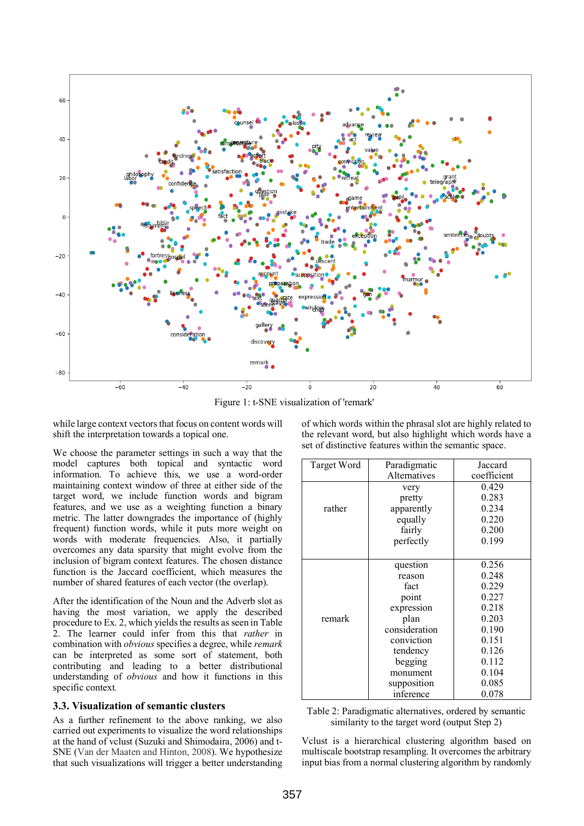

Figure 1: t-SNE visualization of 'remark'

while large context vectors that focus on content words will shift the interpretation towards a topical one.

We choose the parameter settings in such a way that the model captures both topical and syntactic word information. To achieve this, we use a word-order maintaining context window of three at either side of the target word, we include function words and bigram features, and we use as a weighting function a binary metric. The latter downgrades the importance of (highly frequent) function words, while it puts more weight on words with moderate frequencies. Also, it partially overcomes any data sparsity that might evolve from the inclusion of bigram context features. The chosen distance function is the Jaccard coefficient, which measures the number of shared features of each vector (the overlap).

After the identification of the Noun and the Adverb slot as having the most variation, we apply the described procedure to Ex. 2, which yields the results as seen in Table 2. The learner could infer from this that *rather* in combination with *obvious* specifies a degree, while *remark* can be interpreted as some sort of statement, both contributing and leading to a better distributional understanding of *obvious* and how it functions in this specific context*.*

## **3.3. Visualization of semantic clusters**

As a further refinement to the above ranking, we also carried out experiments to visualize the word relationships at the hand of vclust (Suzuki and Shimodaira, 2006) and t-SNE (Van der Maaten and Hinton, 2008). We hypothesize that such visualizations will trigger a better understanding

of which words within the phrasal slot are highly related to the relevant word, but also highlight which words have a set of distinctive features within the semantic space.

| Target Word | Paradigmatic  | Jaccard     |  |
|-------------|---------------|-------------|--|
|             | Alternatives  | coefficient |  |
|             | very          | 0.429       |  |
|             | pretty        | 0.283       |  |
| rather      | apparently    | 0.234       |  |
|             | equally       | 0.220       |  |
|             | fairly        | 0.200       |  |
|             | perfectly     | 0.199       |  |
|             |               |             |  |
|             | question      | 0.256       |  |
|             | reason        | 0.248       |  |
|             | fact          | 0.229       |  |
|             | point         | 0.227       |  |
|             | expression    | 0.218       |  |
| remark      | plan          | 0.203       |  |
|             | consideration | 0.190       |  |
|             | conviction    | 0.151       |  |
|             | tendency      | 0.126       |  |
|             | begging       | 0.112       |  |
|             | monument      | 0.104       |  |
|             | supposition   | 0.085       |  |
|             | inference     | 0.078       |  |

Table 2: Paradigmatic alternatives, ordered by semantic similarity to the target word (output Step 2)

Vclust is a hierarchical clustering algorithm based on multiscale bootstrap resampling. It overcomes the arbitrary input bias from a normal clustering algorithm by randomly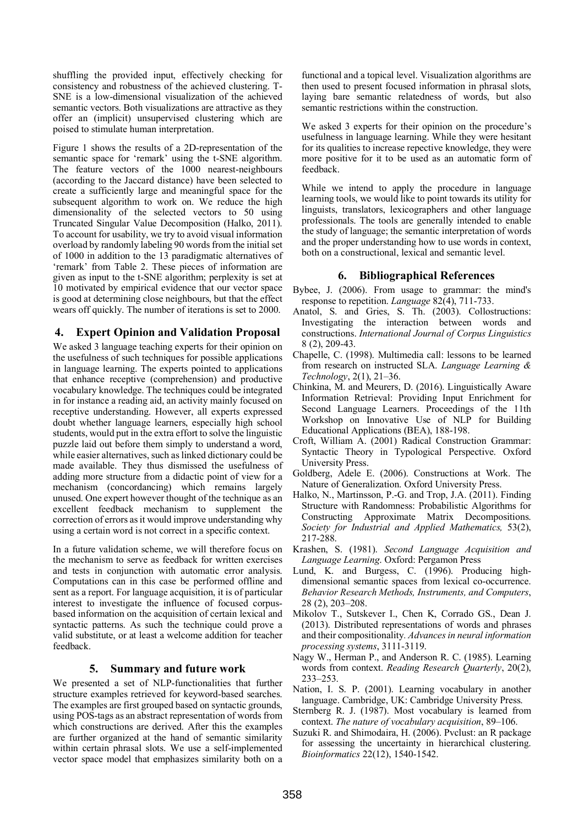shuffling the provided input, effectively checking for consistency and robustness of the achieved clustering. T-SNE is a low-dimensional visualization of the achieved semantic vectors. Both visualizations are attractive as they offer an (implicit) unsupervised clustering which are poised to stimulate human interpretation.

Figure 1 shows the results of a 2D-representation of the semantic space for 'remark' using the t-SNE algorithm. The feature vectors of the 1000 nearest-neighbours (according to the Jaccard distance) have been selected to create a sufficiently large and meaningful space for the subsequent algorithm to work on. We reduce the high dimensionality of the selected vectors to 50 using Truncated Singular Value Decomposition (Halko, 2011). To account for usability, we try to avoid visual information overload by randomly labeling 90 words from the initial set of 1000 in addition to the 13 paradigmatic alternatives of 'remark' from Table 2. These pieces of information are given as input to the t-SNE algorithm; perplexity is set at 10 motivated by empirical evidence that our vector space is good at determining close neighbours, but that the effect wears off quickly. The number of iterations is set to 2000.

## **4. Expert Opinion and Validation Proposal**

We asked 3 language teaching experts for their opinion on the usefulness of such techniques for possible applications in language learning. The experts pointed to applications that enhance receptive (comprehension) and productive vocabulary knowledge. The techniques could be integrated in for instance a reading aid, an activity mainly focused on receptive understanding. However, all experts expressed doubt whether language learners, especially high school students, would put in the extra effort to solve the linguistic puzzle laid out before them simply to understand a word, while easier alternatives, such as linked dictionary could be made available. They thus dismissed the usefulness of adding more structure from a didactic point of view for a mechanism (concordancing) which remains largely unused. One expert however thought of the technique as an excellent feedback mechanism to supplement the correction of errors as it would improve understanding why using a certain word is not correct in a specific context.

In a future validation scheme, we will therefore focus on the mechanism to serve as feedback for written exercises and tests in conjunction with automatic error analysis. Computations can in this case be performed offline and sent as a report. For language acquisition, it is of particular interest to investigate the influence of focused corpusbased information on the acquisition of certain lexical and syntactic patterns. As such the technique could prove a valid substitute, or at least a welcome addition for teacher feedback.

## **5. Summary and future work**

We presented a set of NLP-functionalities that further structure examples retrieved for keyword-based searches. The examples are first grouped based on syntactic grounds, using POS-tags as an abstract representation of words from which constructions are derived. After this the examples are further organized at the hand of semantic similarity within certain phrasal slots. We use a self-implemented vector space model that emphasizes similarity both on a functional and a topical level. Visualization algorithms are then used to present focused information in phrasal slots, laying bare semantic relatedness of words, but also semantic restrictions within the construction.

We asked 3 experts for their opinion on the procedure's usefulness in language learning. While they were hesitant for its qualities to increase repective knowledge, they were more positive for it to be used as an automatic form of feedback.

While we intend to apply the procedure in language learning tools, we would like to point towards its utility for linguists, translators, lexicographers and other language professionals. The tools are generally intended to enable the study of language; the semantic interpretation of words and the proper understanding how to use words in context, both on a constructional, lexical and semantic level.

#### **6. Bibliographical References**

- Bybee, J. (2006). From usage to grammar: the mind's response to repetition. *Language* 82(4), 711-733.
- Anatol, S. and Gries, S. Th. (2003). Collostructions: Investigating the interaction between words and constructions. *International Journal of Corpus Linguistics* 8 (2), 209-43.
- Chapelle, C. (1998). Multimedia call: lessons to be learned from research on instructed SLA. *Language Learning & Technology*, 2(1), 21–36.
- Chinkina, M. and Meurers, D. (2016). Linguistically Aware Information Retrieval: Providing Input Enrichment for Second Language Learners. Proceedings of the 11th Workshop on Innovative Use of NLP for Building Educational Applications (BEA), 188-198.
- Croft, William A. (2001) Radical Construction Grammar: Syntactic Theory in Typological Perspective. Oxford University Press.
- Goldberg, Adele E. (2006). Constructions at Work. The Nature of Generalization. Oxford University Press.
- Halko, N., Martinsson, P.-G. and Trop, J.A. (2011). Finding Structure with Randomness: Probabilistic Algorithms for Constructing Approximate Matrix Decompositions. *Society for Industrial and Applied Mathematics,* 53(2), 217-288.
- Krashen, S. (1981). *Second Language Acquisition and Language Learning*. Oxford: Pergamon Press
- Lund, K. and Burgess, C. (1996). Producing highdimensional semantic spaces from lexical co-occurrence. *Behavior Research Methods, Instruments, and Computers*, 28 (2), 203–208.
- Mikolov T., Sutskever I., Chen K, Corrado GS., Dean J. (2013). Distributed representations of words and phrases and their compositionality*. Advances in neural information processing systems*, 3111-3119.
- Nagy W., Herman P., and Anderson R. C. (1985). Learning words from context. *Reading Research Quarterly*, 20(2), 233–253.
- Nation, I. S. P. (2001). Learning vocabulary in another language. Cambridge, UK: Cambridge University Press.
- Sternberg R. J. (1987). Most vocabulary is learned from context. *The nature of vocabulary acquisition*, 89–106.
- Suzuki R. and Shimodaira, H. (2006). Pvclust: an R package for assessing the uncertainty in hierarchical clustering. *Bioinformatics* 22(12), 1540-1542.